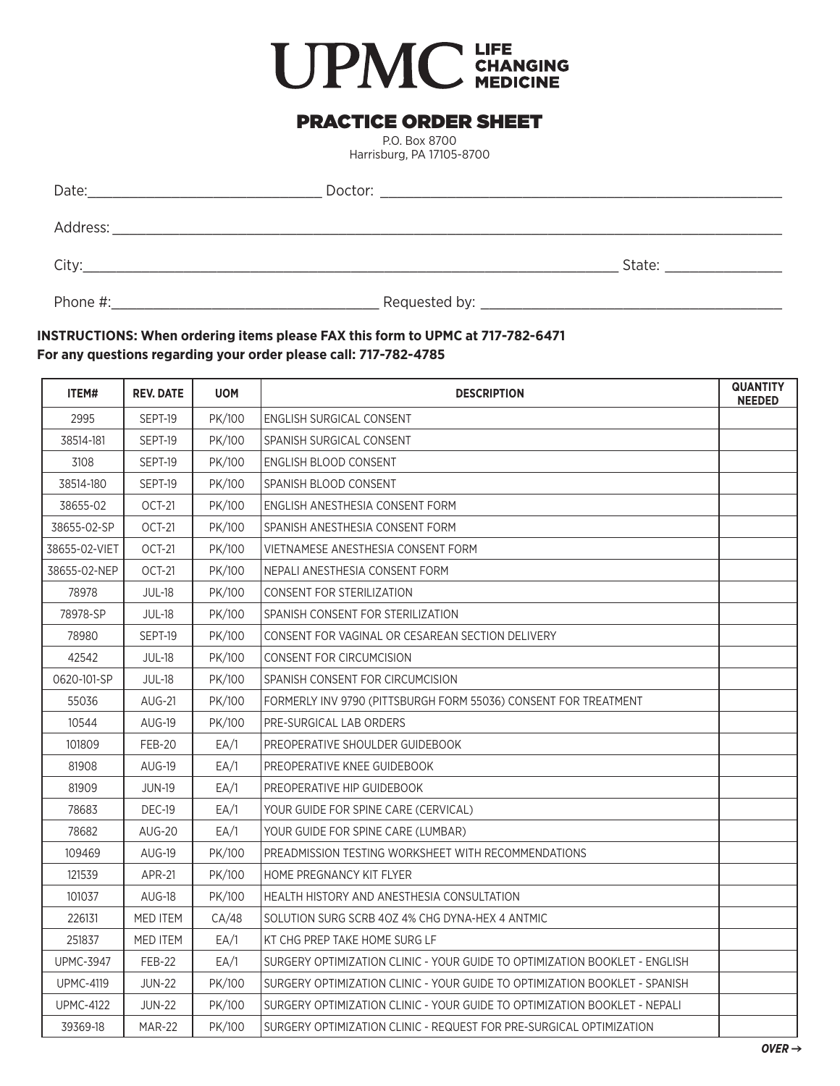## **UPMC** CHANGING

## PRACTICE ORDER SHEET

P.O. Box 8700 Harrisburg, PA 17105-8700

| Date:    | Doctor:       |        |
|----------|---------------|--------|
| Address: |               |        |
| City:    |               | State: |
| Phone #: | Requested by: |        |

## **INSTRUCTIONS: When ordering items please FAX this form to UPMC at 717-782-6471 For any questions regarding your order please call: 717-782-4785**

| ITEM#            | <b>REV. DATE</b> | <b>UOM</b> | <b>DESCRIPTION</b>                                                         | <b>QUANTITY</b><br><b>NEEDED</b> |
|------------------|------------------|------------|----------------------------------------------------------------------------|----------------------------------|
| 2995             | SEPT-19          | PK/100     | ENGLISH SURGICAL CONSENT                                                   |                                  |
| 38514-181        | SEPT-19          | PK/100     | SPANISH SURGICAL CONSENT                                                   |                                  |
| 3108             | SEPT-19          | PK/100     | ENGLISH BLOOD CONSENT                                                      |                                  |
| 38514-180        | SEPT-19          | PK/100     | SPANISH BLOOD CONSENT                                                      |                                  |
| 38655-02         | OCT-21           | PK/100     | ENGLISH ANESTHESIA CONSENT FORM                                            |                                  |
| 38655-02-SP      | OCT-21           | PK/100     | SPANISH ANESTHESIA CONSENT FORM                                            |                                  |
| 38655-02-VIET    | OCT-21           | PK/100     | VIETNAMESE ANESTHESIA CONSENT FORM                                         |                                  |
| 38655-02-NEP     | <b>OCT-21</b>    | PK/100     | NEPALI ANESTHESIA CONSENT FORM                                             |                                  |
| 78978            | <b>JUL-18</b>    | PK/100     | <b>CONSENT FOR STERILIZATION</b>                                           |                                  |
| 78978-SP         | <b>JUL-18</b>    | PK/100     | SPANISH CONSENT FOR STERILIZATION                                          |                                  |
| 78980            | SEPT-19          | PK/100     | CONSENT FOR VAGINAL OR CESAREAN SECTION DELIVERY                           |                                  |
| 42542            | <b>JUL-18</b>    | PK/100     | <b>CONSENT FOR CIRCUMCISION</b>                                            |                                  |
| 0620-101-SP      | <b>JUL-18</b>    | PK/100     | SPANISH CONSENT FOR CIRCUMCISION                                           |                                  |
| 55036            | <b>AUG-21</b>    | PK/100     | FORMERLY INV 9790 (PITTSBURGH FORM 55036) CONSENT FOR TREATMENT            |                                  |
| 10544            | <b>AUG-19</b>    | PK/100     | PRE-SURGICAL LAB ORDERS                                                    |                                  |
| 101809           | <b>FEB-20</b>    | EA/1       | PREOPERATIVE SHOULDER GUIDEBOOK                                            |                                  |
| 81908            | <b>AUG-19</b>    | EA/1       | PREOPERATIVE KNEE GUIDEBOOK                                                |                                  |
| 81909            | <b>JUN-19</b>    | EA/1       | PREOPERATIVE HIP GUIDEBOOK                                                 |                                  |
| 78683            | DEC-19           | EA/1       | YOUR GUIDE FOR SPINE CARE (CERVICAL)                                       |                                  |
| 78682            | <b>AUG-20</b>    | EA/1       | YOUR GUIDE FOR SPINE CARE (LUMBAR)                                         |                                  |
| 109469           | <b>AUG-19</b>    | PK/100     | PREADMISSION TESTING WORKSHEET WITH RECOMMENDATIONS                        |                                  |
| 121539           | <b>APR-21</b>    | PK/100     | HOME PREGNANCY KIT FLYER                                                   |                                  |
| 101037           | AUG-18           | PK/100     | <b>HEALTH HISTORY AND ANESTHESIA CONSULTATION</b>                          |                                  |
| 226131           | <b>MED ITEM</b>  | CA/48      | SOLUTION SURG SCRB 40Z 4% CHG DYNA-HEX 4 ANTMIC                            |                                  |
| 251837           | <b>MED ITEM</b>  | EA/1       | KT CHG PREP TAKE HOME SURG LF                                              |                                  |
| <b>UPMC-3947</b> | FEB-22           | EA/1       | SURGERY OPTIMIZATION CLINIC - YOUR GUIDE TO OPTIMIZATION BOOKLET - ENGLISH |                                  |
| <b>UPMC-4119</b> | <b>JUN-22</b>    | PK/100     | SURGERY OPTIMIZATION CLINIC - YOUR GUIDE TO OPTIMIZATION BOOKLET - SPANISH |                                  |
| <b>UPMC-4122</b> | <b>JUN-22</b>    | PK/100     | SURGERY OPTIMIZATION CLINIC - YOUR GUIDE TO OPTIMIZATION BOOKLET - NEPALI  |                                  |
| 39369-18         | <b>MAR-22</b>    | PK/100     | SURGERY OPTIMIZATION CLINIC - REQUEST FOR PRE-SURGICAL OPTIMIZATION        |                                  |